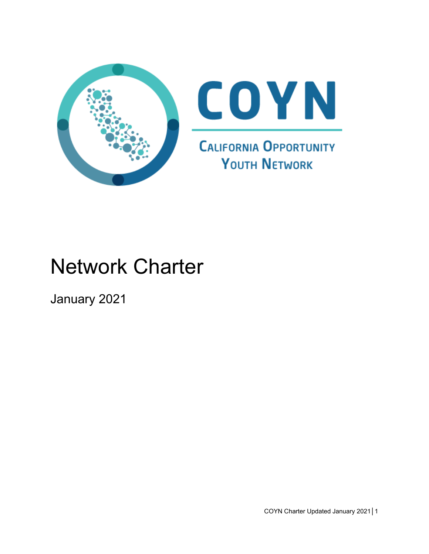

# Network Charter

January 2021

COYN Charter Updated January 2021│1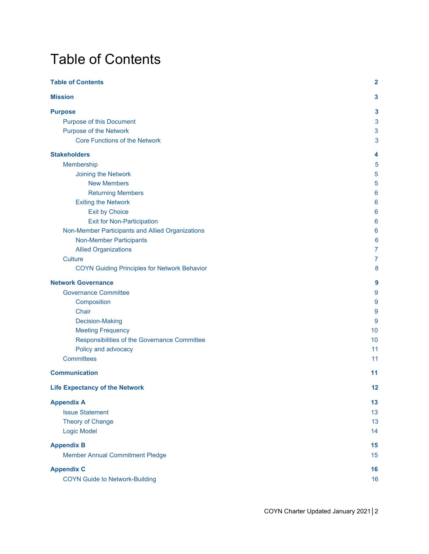## <span id="page-1-0"></span>Table of Contents

| <b>Table of Contents</b>                            | $\mathbf{2}$ |
|-----------------------------------------------------|--------------|
| <b>Mission</b>                                      | 3            |
| <b>Purpose</b>                                      | 3            |
| Purpose of this Document                            | 3            |
| <b>Purpose of the Network</b>                       | 3            |
| <b>Core Functions of the Network</b>                | 3            |
| <b>Stakeholders</b>                                 | 4            |
| Membership                                          | 5            |
| Joining the Network                                 | 5            |
| <b>New Members</b>                                  | 5            |
| <b>Returning Members</b>                            | 6            |
| <b>Exiting the Network</b>                          | 6            |
| <b>Exit by Choice</b>                               | 6            |
| <b>Exit for Non-Participation</b>                   | 6            |
| Non-Member Participants and Allied Organizations    | 6            |
| <b>Non-Member Participants</b>                      | 6            |
| <b>Allied Organizations</b>                         | 7            |
| Culture                                             | 7            |
| <b>COYN Guiding Principles for Network Behavior</b> | 8            |
| <b>Network Governance</b>                           | 9            |
| <b>Governance Committee</b>                         | 9            |
| Composition                                         | 9            |
| Chair                                               | 9            |
| <b>Decision-Making</b>                              | 9            |
| <b>Meeting Frequency</b>                            | 10           |
| Responsibilities of the Governance Committee        | 10           |
| Policy and advocacy                                 | 11           |
| <b>Committees</b>                                   | 11           |
| <b>Communication</b>                                | 11           |
| <b>Life Expectancy of the Network</b>               | 12           |
| <b>Appendix A</b>                                   | 13           |
| <b>Issue Statement</b>                              | 13           |
| Theory of Change                                    | 13           |
| Logic Model                                         | 14           |
| <b>Appendix B</b>                                   | 15           |
| <b>Member Annual Commitment Pledge</b>              | 15           |
| <b>Appendix C</b>                                   | 16           |
| <b>COYN Guide to Network-Building</b>               | 16           |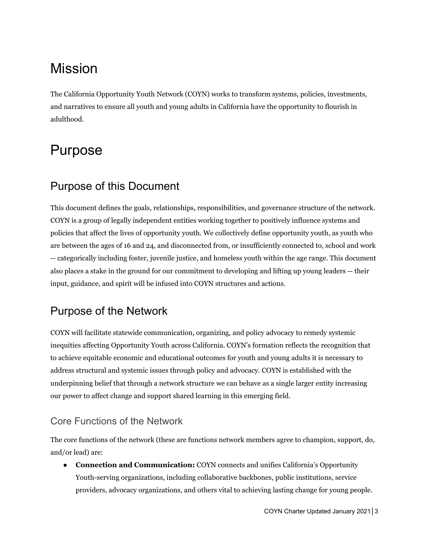## <span id="page-2-0"></span>Mission

The California Opportunity Youth Network (COYN) works to transform systems, policies, investments, and narratives to ensure all youth and young adults in California have the opportunity to flourish in adulthood.

## <span id="page-2-1"></span>Purpose

### <span id="page-2-2"></span>Purpose of this Document

This document defines the goals, relationships, responsibilities, and governance structure of the network. COYN is a group of legally independent entities working together to positively influence systems and policies that affect the lives of opportunity youth. We collectively define opportunity youth, as youth who are between the ages of 16 and 24, and disconnected from, or insufficiently connected to, school and work -- categorically including foster, juvenile justice, and homeless youth within the age range. This document also places a stake in the ground for our commitment to developing and lifting up young leaders -- their input, guidance, and spirit will be infused into COYN structures and actions.

### <span id="page-2-3"></span>Purpose of the Network

COYN will facilitate statewide communication, organizing, and policy advocacy to remedy systemic inequities affecting Opportunity Youth across California. COYN's formation reflects the recognition that to achieve equitable economic and educational outcomes for youth and young adults it is necessary to address structural and systemic issues through policy and advocacy. COYN is established with the underpinning belief that through a network structure we can behave as a single larger entity increasing our power to affect change and support shared learning in this emerging field.

### <span id="page-2-4"></span>Core Functions of the Network

The core functions of the network (these are functions network members agree to champion, support, do, and/or lead) are:

● **Connection and Communication:** COYN connects and unifies California's Opportunity Youth-serving organizations, including collaborative backbones, public institutions, service providers, advocacy organizations, and others vital to achieving lasting change for young people.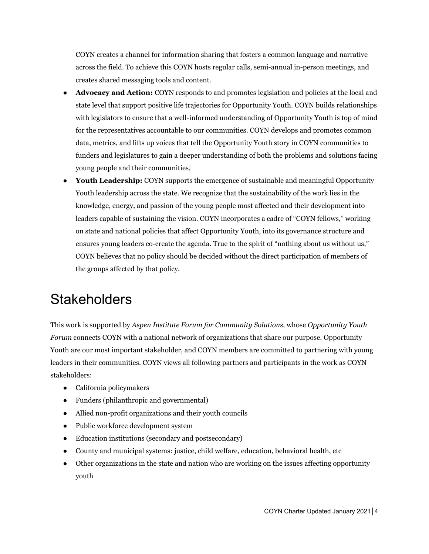COYN creates a channel for information sharing that fosters a common language and narrative across the field. To achieve this COYN hosts regular calls, semi-annual in-person meetings, and creates shared messaging tools and content.

- **Advocacy and Action:** COYN responds to and promotes legislation and policies at the local and state level that support positive life trajectories for Opportunity Youth. COYN builds relationships with legislators to ensure that a well-informed understanding of Opportunity Youth is top of mind for the representatives accountable to our communities. COYN develops and promotes common data, metrics, and lifts up voices that tell the Opportunity Youth story in COYN communities to funders and legislatures to gain a deeper understanding of both the problems and solutions facing young people and their communities.
- **Youth Leadership:** COYN supports the emergence of sustainable and meaningful Opportunity Youth leadership across the state. We recognize that the sustainability of the work lies in the knowledge, energy, and passion of the young people most affected and their development into leaders capable of sustaining the vision. COYN incorporates a cadre of "COYN fellows," working on state and national policies that affect Opportunity Youth, into its governance structure and ensures young leaders co-create the agenda. True to the spirit of "nothing about us without us," COYN believes that no policy should be decided without the direct participation of members of the groups affected by that policy.

## <span id="page-3-0"></span>**Stakeholders**

This work is supported by *Aspen Institute Forum for Community Solutions,* whose *Opportunity Youth Forum* connects COYN with a national network of organizations that share our purpose. Opportunity Youth are our most important stakeholder, and COYN members are committed to partnering with young leaders in their communities. COYN views all following partners and participants in the work as COYN stakeholders:

- California policymakers
- Funders (philanthropic and governmental)
- Allied non-profit organizations and their youth councils
- Public workforce development system
- Education institutions (secondary and postsecondary)
- County and municipal systems: justice, child welfare, education, behavioral health, etc
- Other organizations in the state and nation who are working on the issues affecting opportunity youth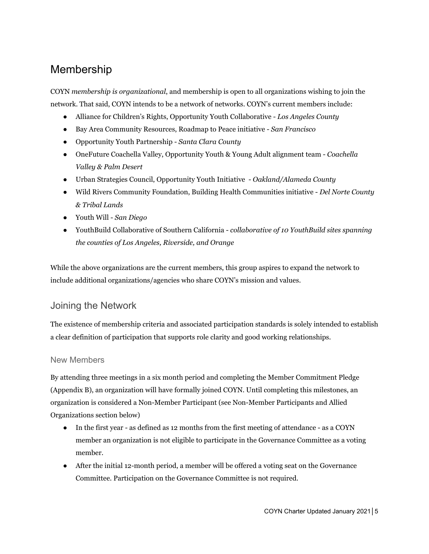### <span id="page-4-0"></span>Membership

COYN *membership is organizational*, and membership is open to all organizations wishing to join the network. That said, COYN intends to be a network of networks. COYN's current members include:

- Alliance for Children's Rights, Opportunity Youth Collaborative *Los Angeles County*
- Bay Area Community Resources, Roadmap to Peace initiative *San Francisco*
- Opportunity Youth Partnership *Santa Clara County*
- *●* OneFuture Coachella Valley, Opportunity Youth & Young Adult alignment team *Coachella Valley & Palm Desert*
- Urban Strategies Council, Opportunity Youth Initiative *Oakland/Alameda County*
- Wild Rivers Community Foundation, Building Health Communities initiative *Del Norte County & Tribal Lands*
- Youth Will *San Diego*
- YouthBuild Collaborative of Southern California *collaborative of 10 YouthBuild sites spanning the counties of Los Angeles, Riverside, and Orange*

While the above organizations are the current members, this group aspires to expand the network to include additional organizations/agencies who share COYN's mission and values.

#### <span id="page-4-1"></span>Joining the Network

The existence of membership criteria and associated participation standards is solely intended to establish a clear definition of participation that supports role clarity and good working relationships.

#### <span id="page-4-2"></span>New Members

By attending three meetings in a six month period and completing the Member Commitment Pledge (Appendix B), an organization will have formally joined COYN. Until completing this milestones, an organization is considered a Non-Member Participant (see Non-Member Participants and Allied Organizations section below)

- In the first year as defined as 12 months from the first meeting of attendance as a COYN member an organization is not eligible to participate in the Governance Committee as a voting member.
- After the initial 12-month period, a member will be offered a voting seat on the Governance Committee. Participation on the Governance Committee is not required.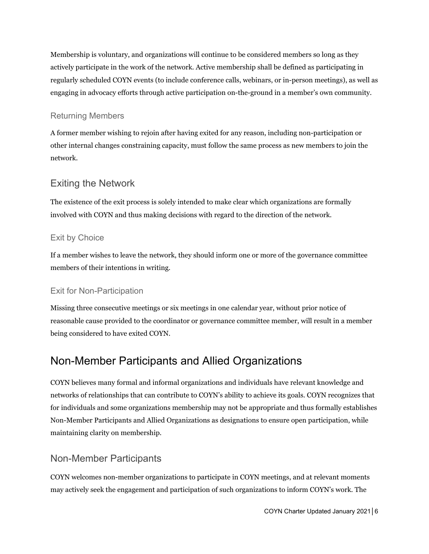Membership is voluntary, and organizations will continue to be considered members so long as they actively participate in the work of the network. Active membership shall be defined as participating in regularly scheduled COYN events (to include conference calls, webinars, or in-person meetings), as well as engaging in advocacy efforts through active participation on-the-ground in a member's own community.

#### <span id="page-5-0"></span>Returning Members

A former member wishing to rejoin after having exited for any reason, including non-participation or other internal changes constraining capacity, must follow the same process as new members to join the network.

#### <span id="page-5-1"></span>Exiting the Network

The existence of the exit process is solely intended to make clear which organizations are formally involved with COYN and thus making decisions with regard to the direction of the network.

#### <span id="page-5-2"></span>Exit by Choice

If a member wishes to leave the network, they should inform one or more of the governance committee members of their intentions in writing.

#### <span id="page-5-3"></span>Exit for Non-Participation

Missing three consecutive meetings or six meetings in one calendar year, without prior notice of reasonable cause provided to the coordinator or governance committee member, will result in a member being considered to have exited COYN.

### <span id="page-5-4"></span>Non-Member Participants and Allied Organizations

COYN believes many formal and informal organizations and individuals have relevant knowledge and networks of relationships that can contribute to COYN's ability to achieve its goals. COYN recognizes that for individuals and some organizations membership may not be appropriate and thus formally establishes Non-Member Participants and Allied Organizations as designations to ensure open participation, while maintaining clarity on membership.

### <span id="page-5-5"></span>Non-Member Participants

COYN welcomes non-member organizations to participate in COYN meetings, and at relevant moments may actively seek the engagement and participation of such organizations to inform COYN's work. The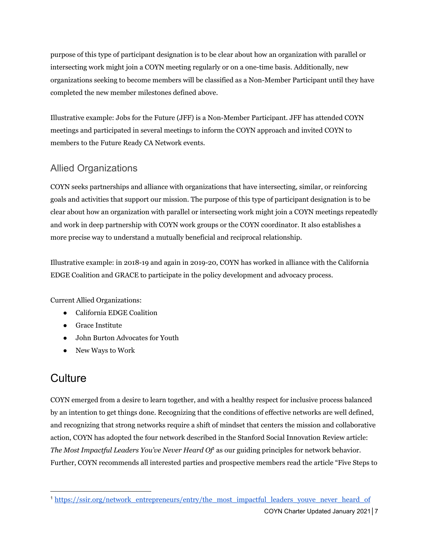purpose of this type of participant designation is to be clear about how an organization with parallel or intersecting work might join a COYN meeting regularly or on a one-time basis. Additionally, new organizations seeking to become members will be classified as a Non-Member Participant until they have completed the new member milestones defined above.

Illustrative example: Jobs for the Future (JFF) is a Non-Member Participant. JFF has attended COYN meetings and participated in several meetings to inform the COYN approach and invited COYN to members to the Future Ready CA Network events.

### <span id="page-6-0"></span>Allied Organizations

COYN seeks partnerships and alliance with organizations that have intersecting, similar, or reinforcing goals and activities that support our mission. The purpose of this type of participant designation is to be clear about how an organization with parallel or intersecting work might join a COYN meetings repeatedly and work in deep partnership with COYN work groups or the COYN coordinator. It also establishes a more precise way to understand a mutually beneficial and reciprocal relationship.

Illustrative example: in 2018-19 and again in 2019-20, COYN has worked in alliance with the California EDGE Coalition and GRACE to participate in the policy development and advocacy process.

Current Allied Organizations:

- California EDGE Coalition
- Grace Institute
- John Burton Advocates for Youth
- New Ways to Work

### <span id="page-6-1"></span>**Culture**

COYN emerged from a desire to learn together, and with a healthy respect for inclusive process balanced by an intention to get things done. Recognizing that the conditions of effective networks are well defined, and recognizing that strong networks require a shift of mindset that centers the mission and collaborative action, COYN has adopted the four network described in the Stanford Social Innovation Review article: *The Most Impactful Leaders You've Never Heard Of* as our guiding principles for network behavior. *1* Further, COYN recommends all interested parties and prospective members read the article "Five Steps to

<sup>&</sup>lt;sup>1</sup>[https://ssir.org/network\\_entrepreneurs/entry/the\\_most\\_impactful\\_leaders\\_youve\\_never\\_heard\\_of](https://ssir.org/network_entrepreneurs/entry/the_most_impactful_leaders_youve_never_heard_of)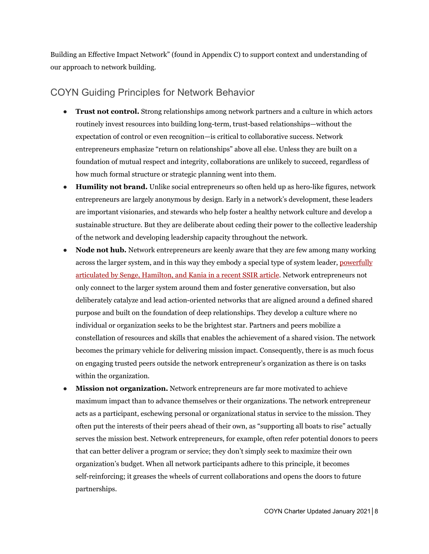Building an Effective Impact Network" (found in Appendix C) to support context and understanding of our approach to network building.

#### <span id="page-7-0"></span>COYN Guiding Principles for Network Behavior

- **Trust not control.** Strong relationships among network partners and a culture in which actors routinely invest resources into building long-term, trust-based relationships—without the expectation of control or even recognition—is critical to collaborative success. Network entrepreneurs emphasize "return on relationships" above all else. Unless they are built on a foundation of mutual respect and integrity, collaborations are unlikely to succeed, regardless of how much formal structure or strategic planning went into them.
- **Humility not brand.** Unlike social entrepreneurs so often held up as hero-like figures, network entrepreneurs are largely anonymous by design. Early in a network's development, these leaders are important visionaries, and stewards who help foster a healthy network culture and develop a sustainable structure. But they are deliberate about ceding their power to the collective leadership of the network and developing leadership capacity throughout the network.
- **Node not hub.** Network entrepreneurs are keenly aware that they are few among many working across the larger system, and in this way they embody a special type of system leader, [powerfully](http://ssir.org/articles/entry/the_dawn_of_system_leadership) [articulated](http://ssir.org/articles/entry/the_dawn_of_system_leadership) by Senge, Hamilton, and Kania in a recent SSIR article. Network entrepreneurs not only connect to the larger system around them and foster generative conversation, but also deliberately catalyze and lead action-oriented networks that are aligned around a defined shared purpose and built on the foundation of deep relationships. They develop a culture where no individual or organization seeks to be the brightest star. Partners and peers mobilize a constellation of resources and skills that enables the achievement of a shared vision. The network becomes the primary vehicle for delivering mission impact. Consequently, there is as much focus on engaging trusted peers outside the network entrepreneur's organization as there is on tasks within the organization.
- **Mission not organization.** Network entrepreneurs are far more motivated to achieve maximum impact than to advance themselves or their organizations. The network entrepreneur acts as a participant, eschewing personal or organizational status in service to the mission. They often put the interests of their peers ahead of their own, as "supporting all boats to rise" actually serves the mission best. Network entrepreneurs, for example, often refer potential donors to peers that can better deliver a program or service; they don't simply seek to maximize their own organization's budget. When all network participants adhere to this principle, it becomes self-reinforcing; it greases the wheels of current collaborations and opens the doors to future partnerships.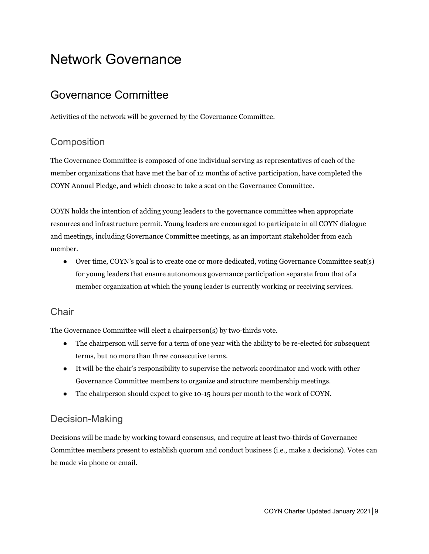## <span id="page-8-0"></span>Network Governance

### <span id="page-8-1"></span>Governance Committee

Activities of the network will be governed by the Governance Committee.

### <span id="page-8-2"></span>**Composition**

The Governance Committee is composed of one individual serving as representatives of each of the member organizations that have met the bar of 12 months of active participation, have completed the COYN Annual Pledge, and which choose to take a seat on the Governance Committee.

COYN holds the intention of adding young leaders to the governance committee when appropriate resources and infrastructure permit. Young leaders are encouraged to participate in all COYN dialogue and meetings, including Governance Committee meetings, as an important stakeholder from each member.

• Over time, COYN's goal is to create one or more dedicated, voting Governance Committee seat(s) for young leaders that ensure autonomous governance participation separate from that of a member organization at which the young leader is currently working or receiving services.

#### <span id="page-8-3"></span>**Chair**

The Governance Committee will elect a chairperson(s) by two-thirds vote.

- The chairperson will serve for a term of one year with the ability to be re-elected for subsequent terms, but no more than three consecutive terms.
- It will be the chair's responsibility to supervise the network coordinator and work with other Governance Committee members to organize and structure membership meetings.
- The chairperson should expect to give 10-15 hours per month to the work of COYN.

### <span id="page-8-4"></span>Decision-Making

Decisions will be made by working toward consensus, and require at least two-thirds of Governance Committee members present to establish quorum and conduct business (i.e., make a decisions). Votes can be made via phone or email.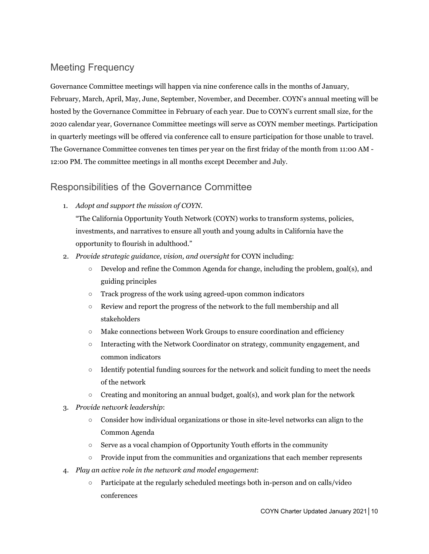### <span id="page-9-0"></span>Meeting Frequency

Governance Committee meetings will happen via nine conference calls in the months of January, February, March, April, May, June, September, November, and December. COYN's annual meeting will be hosted by the Governance Committee in February of each year. Due to COYN's current small size, for the 2020 calendar year, Governance Committee meetings will serve as COYN member meetings. Participation in quarterly meetings will be offered via conference call to ensure participation for those unable to travel. The Governance Committee convenes ten times per year on the first friday of the month from 11:00 AM - 12:00 PM. The committee meetings in all months except December and July.

#### <span id="page-9-1"></span>Responsibilities of the Governance Committee

1. *Adopt and support the mission of COYN.*

"The California Opportunity Youth Network (COYN) works to transform systems, policies, investments, and narratives to ensure all youth and young adults in California have the opportunity to flourish in adulthood."

- 2. *Provide strategic guidance, vision, and oversight* for COYN including:
	- Develop and refine the Common Agenda for change, including the problem, goal(s), and guiding principles
	- Track progress of the work using agreed-upon common indicators
	- Review and report the progress of the network to the full membership and all stakeholders
	- $\circ$  Make connections between Work Groups to ensure coordination and efficiency
	- Interacting with the Network Coordinator on strategy, community engagement, and common indicators
	- Identify potential funding sources for the network and solicit funding to meet the needs of the network
	- $\circ$  Creating and monitoring an annual budget, goal(s), and work plan for the network
- 3. *Provide network leadership*:
	- Consider how individual organizations or those in site-level networks can align to the Common Agenda
	- Serve as a vocal champion of Opportunity Youth efforts in the community
	- Provide input from the communities and organizations that each member represents
- 4. *Play an active role in the network and model engagement*:
	- Participate at the regularly scheduled meetings both in-person and on calls/video conferences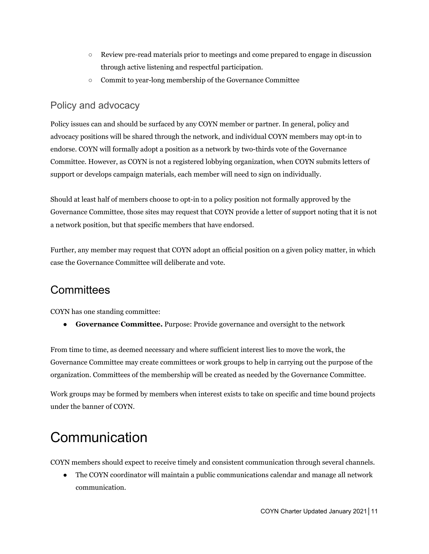- Review pre-read materials prior to meetings and come prepared to engage in discussion through active listening and respectful participation.
- Commit to year-long membership of the Governance Committee

#### <span id="page-10-0"></span>Policy and advocacy

Policy issues can and should be surfaced by any COYN member or partner. In general, policy and advocacy positions will be shared through the network, and individual COYN members may opt-in to endorse. COYN will formally adopt a position as a network by two-thirds vote of the Governance Committee. However, as COYN is not a registered lobbying organization, when COYN submits letters of support or develops campaign materials, each member will need to sign on individually.

Should at least half of members choose to opt-in to a policy position not formally approved by the Governance Committee, those sites may request that COYN provide a letter of support noting that it is not a network position, but that specific members that have endorsed.

Further, any member may request that COYN adopt an official position on a given policy matter, in which case the Governance Committee will deliberate and vote.

### <span id="page-10-1"></span>**Committees**

COYN has one standing committee:

● **Governance Committee.** Purpose: Provide governance and oversight to the network

From time to time, as deemed necessary and where sufficient interest lies to move the work, the Governance Committee may create committees or work groups to help in carrying out the purpose of the organization. Committees of the membership will be created as needed by the Governance Committee.

Work groups may be formed by members when interest exists to take on specific and time bound projects under the banner of COYN.

## <span id="page-10-2"></span>**Communication**

COYN members should expect to receive timely and consistent communication through several channels.

● The COYN coordinator will maintain a public communications calendar and manage all network communication.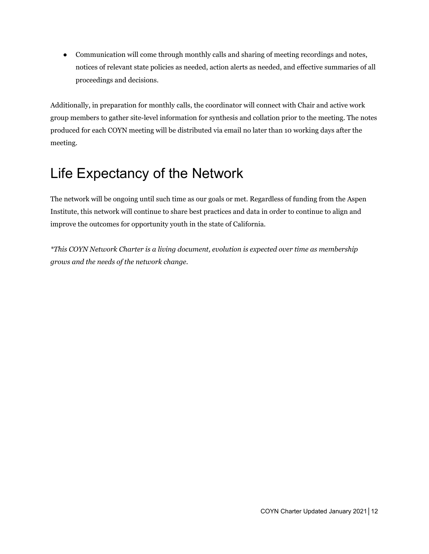• Communication will come through monthly calls and sharing of meeting recordings and notes, notices of relevant state policies as needed, action alerts as needed, and effective summaries of all proceedings and decisions.

Additionally, in preparation for monthly calls, the coordinator will connect with Chair and active work group members to gather site-level information for synthesis and collation prior to the meeting. The notes produced for each COYN meeting will be distributed via email no later than 10 working days after the meeting.

## <span id="page-11-0"></span>Life Expectancy of the Network

The network will be ongoing until such time as our goals or met. Regardless of funding from the Aspen Institute, this network will continue to share best practices and data in order to continue to align and improve the outcomes for opportunity youth in the state of California.

*\*This COYN Network Charter is a living document, evolution is expected over time as membership grows and the needs of the network change.*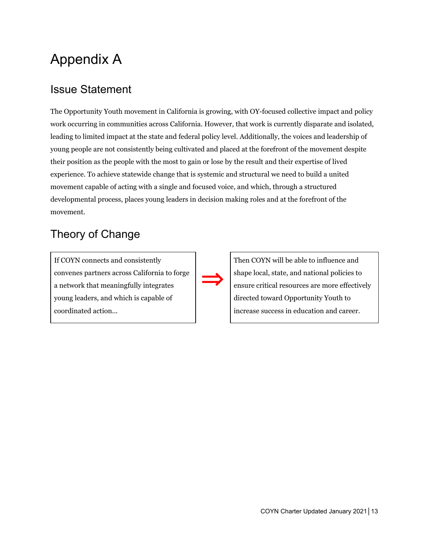## <span id="page-12-0"></span>Appendix A

### <span id="page-12-1"></span>Issue Statement

The Opportunity Youth movement in California is growing, with OY-focused collective impact and policy work occurring in communities across California. However, that work is currently disparate and isolated, leading to limited impact at the state and federal policy level. Additionally, the voices and leadership of young people are not consistently being cultivated and placed at the forefront of the movement despite their position as the people with the most to gain or lose by the result and their expertise of lived experience. To achieve statewide change that is systemic and structural we need to build a united movement capable of acting with a single and focused voice, and which, through a structured developmental process, places young leaders in decision making roles and at the forefront of the movement.

### <span id="page-12-2"></span>Theory of Change

If COYN connects and consistently convenes partners across California to forge a network that meaningfully integrates young leaders, and which is capable of coordinated action...



Then COYN will be able to influence and shape local, state, and national policies to ensure critical resources are more effectively directed toward Opportunity Youth to increase success in education and career.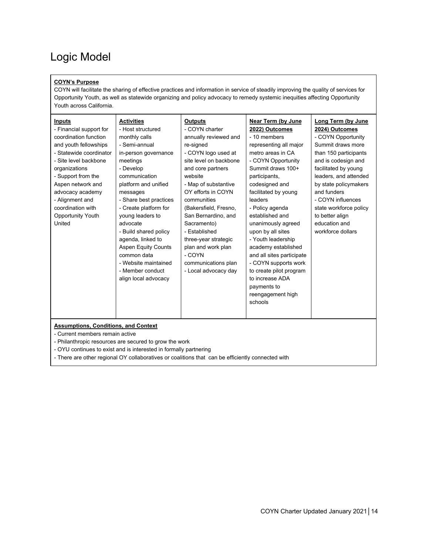### <span id="page-13-0"></span>Logic Model

#### **COYN's Purpose**

COYN will facilitate the sharing of effective practices and information in service of steadily improving the quality of services for Opportunity Youth, as well as statewide organizing and policy advocacy to remedy systemic inequities affecting Opportunity Youth across California.

| <b>Inputs</b><br>- Financial support for<br>coordination function<br>and youth fellowships<br>- Statewide coordinator<br>- Site level backbone<br>organizations<br>- Support from the<br>Aspen network and<br>advocacy academy<br>- Alignment and<br>coordination with<br>Opportunity Youth<br>United | <b>Activities</b><br>- Host structured<br>monthly calls<br>- Semi-annual<br>in-person governance<br>meetings<br>- Develop<br>communication<br>platform and unified<br>messages<br>- Share best practices<br>- Create platform for<br>young leaders to<br>advocate<br>- Build shared policy<br>agenda, linked to<br><b>Aspen Equity Counts</b><br>common data<br>- Website maintained<br>- Member conduct<br>align local advocacy | <b>Outputs</b><br>- COYN charter<br>annually reviewed and<br>re-signed<br>- COYN logo used at<br>site level on backbone<br>and core partners<br>website<br>- Map of substantive<br>OY efforts in COYN<br>communities<br>(Bakersfield, Fresno,<br>San Bernardino, and<br>Sacramento)<br>- Established<br>three-year strategic<br>plan and work plan<br>- COYN<br>communications plan<br>- Local advocacy day | Near Term (by June<br>2022) Outcomes<br>- 10 members<br>representing all major<br>metro areas in CA<br>- COYN Opportunity<br>Summit draws 100+<br>participants,<br>codesigned and<br>facilitated by young<br>leaders<br>- Policy agenda<br>established and<br>unanimously agreed<br>upon by all sites<br>- Youth leadership<br>academy established<br>and all sites participate<br>- COYN supports work<br>to create pilot program<br>to increase ADA | Long Term (by June<br>2024) Outcomes<br>- COYN Opportunity<br>Summit draws more<br>than 150 participants<br>and is codesign and<br>facilitated by young<br>leaders, and attended<br>by state policymakers<br>and funders<br>- COYN influences<br>state workforce policy<br>to better align<br>education and<br>workforce dollars |
|-------------------------------------------------------------------------------------------------------------------------------------------------------------------------------------------------------------------------------------------------------------------------------------------------------|----------------------------------------------------------------------------------------------------------------------------------------------------------------------------------------------------------------------------------------------------------------------------------------------------------------------------------------------------------------------------------------------------------------------------------|-------------------------------------------------------------------------------------------------------------------------------------------------------------------------------------------------------------------------------------------------------------------------------------------------------------------------------------------------------------------------------------------------------------|-------------------------------------------------------------------------------------------------------------------------------------------------------------------------------------------------------------------------------------------------------------------------------------------------------------------------------------------------------------------------------------------------------------------------------------------------------|----------------------------------------------------------------------------------------------------------------------------------------------------------------------------------------------------------------------------------------------------------------------------------------------------------------------------------|
|                                                                                                                                                                                                                                                                                                       |                                                                                                                                                                                                                                                                                                                                                                                                                                  |                                                                                                                                                                                                                                                                                                                                                                                                             | payments to<br>reengagement high<br>schools                                                                                                                                                                                                                                                                                                                                                                                                           |                                                                                                                                                                                                                                                                                                                                  |
| <b>Assumptions, Conditions, and Context</b><br>- Current members remain active                                                                                                                                                                                                                        |                                                                                                                                                                                                                                                                                                                                                                                                                                  |                                                                                                                                                                                                                                                                                                                                                                                                             |                                                                                                                                                                                                                                                                                                                                                                                                                                                       |                                                                                                                                                                                                                                                                                                                                  |
|                                                                                                                                                                                                                                                                                                       | - Philanthropic resources are secured to grow the work<br>- OYU continues to exist and is interested in formally partnering                                                                                                                                                                                                                                                                                                      |                                                                                                                                                                                                                                                                                                                                                                                                             |                                                                                                                                                                                                                                                                                                                                                                                                                                                       |                                                                                                                                                                                                                                                                                                                                  |

- There are other regional OY collaboratives or coalitions that can be efficiently connected with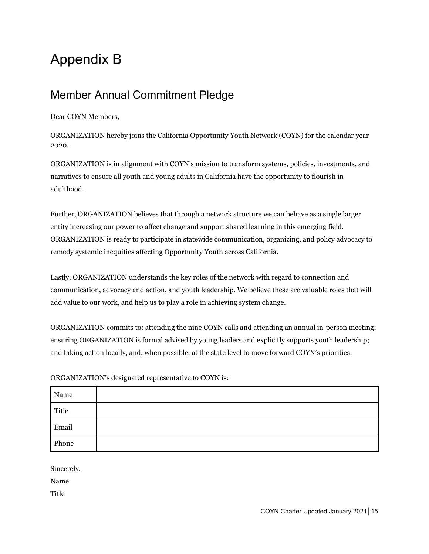## <span id="page-14-0"></span>Appendix B

### <span id="page-14-1"></span>Member Annual Commitment Pledge

Dear COYN Members,

ORGANIZATION hereby joins the California Opportunity Youth Network (COYN) for the calendar year 2020.

ORGANIZATION is in alignment with COYN's mission to transform systems, policies, investments, and narratives to ensure all youth and young adults in California have the opportunity to flourish in adulthood.

Further, ORGANIZATION believes that through a network structure we can behave as a single larger entity increasing our power to affect change and support shared learning in this emerging field. ORGANIZATION is ready to participate in statewide communication, organizing, and policy advocacy to remedy systemic inequities affecting Opportunity Youth across California.

Lastly, ORGANIZATION understands the key roles of the network with regard to connection and communication, advocacy and action, and youth leadership. We believe these are valuable roles that will add value to our work, and help us to play a role in achieving system change.

ORGANIZATION commits to: attending the nine COYN calls and attending an annual in-person meeting; ensuring ORGANIZATION is formal advised by young leaders and explicitly supports youth leadership; and taking action locally, and, when possible, at the state level to move forward COYN's priorities.

| Name  |  |
|-------|--|
| Title |  |
| Email |  |
| Phone |  |

ORGANIZATION's designated representative to COYN is:

Sincerely,

Name

**Title**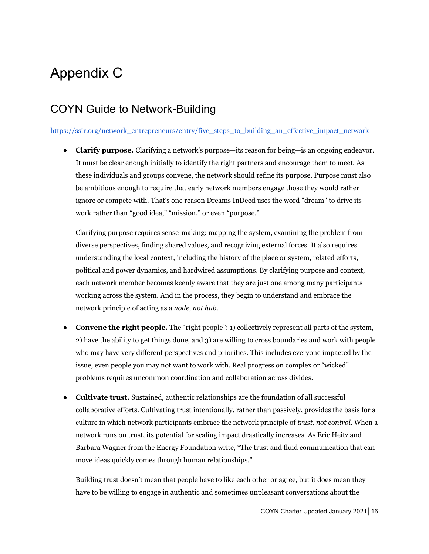## <span id="page-15-0"></span>Appendix C

### <span id="page-15-1"></span>COYN Guide to Network-Building

[https://ssir.org/network\\_entrepreneurs/entry/five\\_steps\\_to\\_building\\_an\\_effective\\_impact\\_network](https://ssir.org/network_entrepreneurs/entry/five_steps_to_building_an_effective_impact_network)

● **Clarify purpose.** Clarifying a network's purpose—its reason for being—is an ongoing endeavor. It must be clear enough initially to identify the right partners and encourage them to meet. As these individuals and groups convene, the network should refine its purpose. Purpose must also be ambitious enough to require that early network members engage those they would rather ignore or compete with. That's one reason Dreams InDeed uses the word "dream" to drive its work rather than "good idea," "mission," or even "purpose."

Clarifying purpose requires sense-making: mapping the system, examining the problem from diverse perspectives, finding shared values, and recognizing external forces. It also requires understanding the local context, including the history of the place or system, related efforts, political and power dynamics, and hardwired assumptions. By clarifying purpose and context, each network member becomes keenly aware that they are just one among many participants working across the system. And in the process, they begin to understand and embrace the network principle of acting as a *node, not hub.*

- **Convene the right people.** The "right people": 1) collectively represent all parts of the system, 2) have the ability to get things done, and 3) are willing to cross boundaries and work with people who may have very different perspectives and priorities. This includes everyone impacted by the issue, even people you may not want to work with. Real progress on complex or "wicked" problems requires uncommon coordination and collaboration across divides.
- **Cultivate trust.** Sustained, authentic relationships are the foundation of all successful collaborative efforts. Cultivating trust intentionally, rather than passively, provides the basis for a culture in which network participants embrace the network principle of *trust, not control*. When a network runs on trust, its potential for scaling impact drastically increases. As Eric Heitz and Barbara Wagner from the Energy Foundation write, "The trust and fluid communication that can move ideas quickly comes through human relationships."

Building trust doesn't mean that people have to like each other or agree, but it does mean they have to be willing to engage in authentic and sometimes unpleasant conversations about the